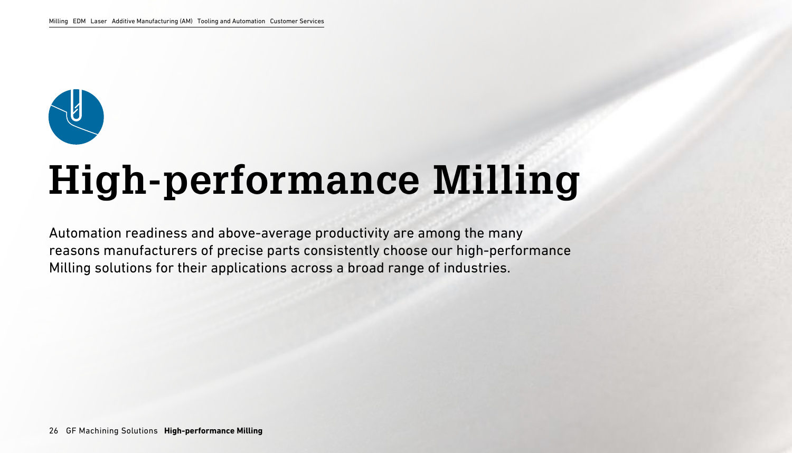

# **High-performance Milling**

Automation readiness and above-average productivity are among the many reasons manufacturers of precise parts consistently choose our high-performance Milling solutions for their applications across a broad range of industries.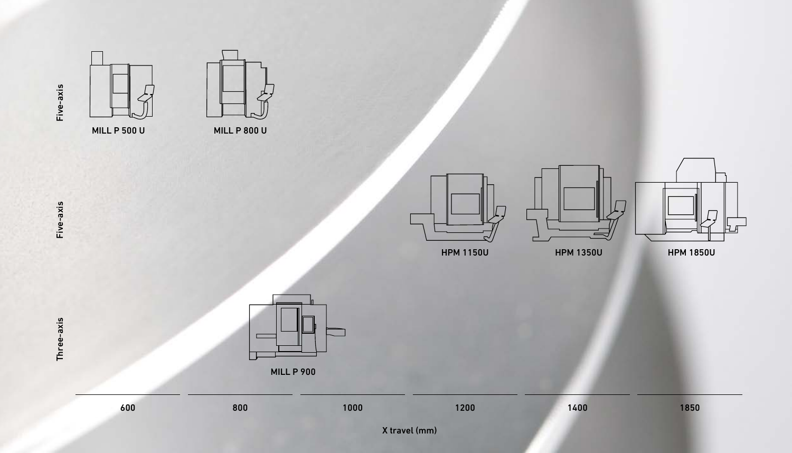











Five-axis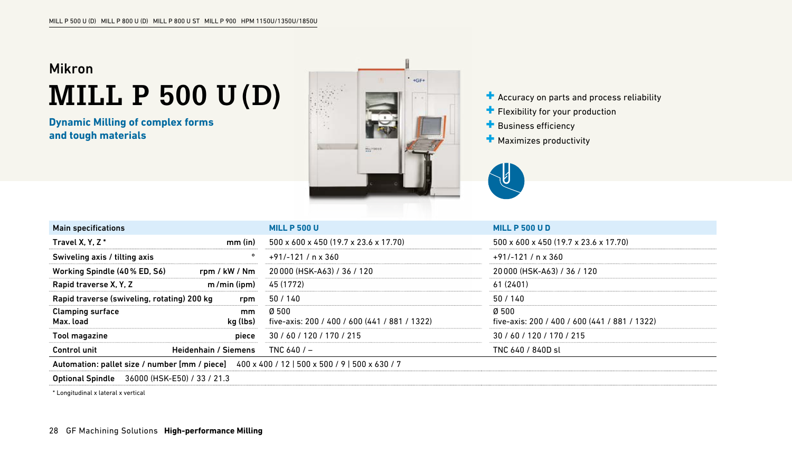### Mikron **MILL P 500 U (D)**

**Dynamic Milling of complex forms and tough materials**



- $\blacksquare$  Accuracy on parts and process reliability
- Flexibility for your production
- **Business efficiency**
- **+** Maximizes productivity



| <b>Main specifications</b>                                                                   | <b>MILL P 500 U</b>                                                     | <b>MILL P 500 U D</b>                                 |  |  |  |
|----------------------------------------------------------------------------------------------|-------------------------------------------------------------------------|-------------------------------------------------------|--|--|--|
| Travel X.Y.Z*<br>$mm$ (in)                                                                   | 500 x 600 x 450 (19.7 x 23.6 x 17.70)                                   | 500 x 600 x 450 (19.7 x 23.6 x 17.70)                 |  |  |  |
| Swiveling axis / tilting axis                                                                | $+91/-121/$ n x 360                                                     | $+91/-121/$ n x 360                                   |  |  |  |
| Working Spindle (40% ED, S6)<br>rpm / kW / Nm                                                | 20 000 (HSK-A63) / 36 / 120                                             | 20 000 (HSK-A63) / 36 / 120                           |  |  |  |
| m/min (ipm)<br>Rapid traverse X, Y, Z                                                        | 45 (1772)                                                               | 61 (2401)                                             |  |  |  |
| Rapid traverse (swiveling, rotating) 200 kg                                                  | 50/140<br>rpm                                                           | 50/140                                                |  |  |  |
| <b>Clamping surface</b><br>Max. load<br>kg (lbs)                                             | Ø 500<br><sub>mm</sub><br>five-axis: 200 / 400 / 600 (441 / 881 / 1322) | 0500<br>five-axis: 200 / 400 / 600 (441 / 881 / 1322) |  |  |  |
| <b>Tool magazine</b>                                                                         | 30 / 60 / 120 / 170 / 215<br>piece                                      | 30 / 60 / 120 / 170 / 215                             |  |  |  |
| Control unit<br><b>Heidenhain / Siemens</b>                                                  | TNC $640/$ –                                                            | TNC 640 / 840D st                                     |  |  |  |
| Automation: pallet size / number [mm / piece] 400 x 400 / 12   500 x 500 / 9   500 x 630 / 7 |                                                                         |                                                       |  |  |  |
| <b>Optional Spindle</b><br>36000 (HSK-E50) / 33 / 21.3                                       |                                                                         |                                                       |  |  |  |

\* Longitudinal x lateral x vertical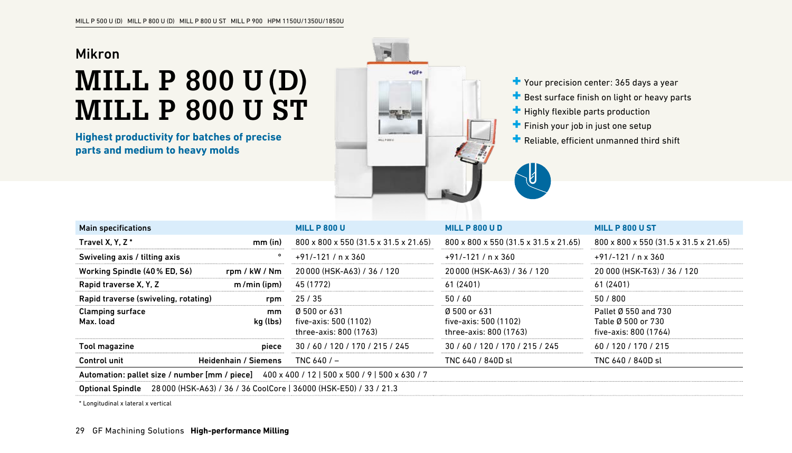#### Mikron

# **MILL P 800 U (D) MILL P 800 U ST**

**Highest productivity for batches of precise parts and medium to heavy molds**



Your precision center: 365 days a year

 $\blacksquare$  Best surface finish on light or heavy parts

 $\blacksquare$  Highly flexible parts production

 $\pm$  Finish your job in just one setup

**Reliable, efficient unmanned third shift** 

| <b>Main specifications</b>                                                                   |                             | <b>MILL P 800 U</b>                                             | <b>MILL P 800 U D</b>                                           | MILL P 800 U ST                                                     |  |  |
|----------------------------------------------------------------------------------------------|-----------------------------|-----------------------------------------------------------------|-----------------------------------------------------------------|---------------------------------------------------------------------|--|--|
| Travel X, Y, Z <sup>*</sup>                                                                  | $mm$ (in)                   | 800 x 800 x 550 (31.5 x 31.5 x 21.65)                           | 800 x 800 x 550 (31.5 x 31.5 x 21.65)                           | 800 x 800 x 550 (31.5 x 31.5 x 21.65)                               |  |  |
| Swiveling axis / tilting axis                                                                | ۰                           | $+91/-121/$ n x 360                                             | $+91/-121/$ n x 360                                             | $+91/-121/$ n x 360                                                 |  |  |
| Working Spindle (40% ED, S6)                                                                 | rom / kW / Nm               | 20000 (HSK-A63) / 36 / 120                                      | 20000 (HSK-A63) / 36 / 120                                      | 20 000 (HSK-T63) / 36 / 120                                         |  |  |
| Rapid traverse X, Y, Z                                                                       | m/min (ipm)                 | 45 (1772)                                                       | 61 (2401)                                                       | 61 (2401)                                                           |  |  |
| Rapid traverse (swiveling, rotating)                                                         | rpm                         | 25/35                                                           | 50/60                                                           | 50/800                                                              |  |  |
| <b>Clamping surface</b><br>Max. load                                                         | mm<br>kg (lbs)              | Ø 500 or 631<br>five-axis: 500 (1102)<br>three-axis: 800 (1763) | Ø 500 or 631<br>five-axis: 500 (1102)<br>three-axis: 800 (1763) | Pallet Ø 550 and 730<br>Table Ø 500 or 730<br>five-axis: 800 (1764) |  |  |
| Tool magazine                                                                                | piece                       | 30 / 60 / 120 / 170 / 215 / 245                                 | 30/60/120/170/215/245                                           | 60/120/170/215                                                      |  |  |
| Control unit                                                                                 | <b>Heidenhain / Siemens</b> | TNC $640/$ –                                                    | TNC 640 / 840D sl                                               | TNC 640 / 840D sl                                                   |  |  |
| Automation: pallet size / number [mm / piece] 400 x 400 / 12   500 x 500 / 9   500 x 630 / 7 |                             |                                                                 |                                                                 |                                                                     |  |  |
| 28 000 (HSK-A63) / 36 / 36 CoolCore   36000 (HSK-E50) / 33 / 21.3<br><b>Optional Spindle</b> |                             |                                                                 |                                                                 |                                                                     |  |  |

\* Longitudinal x lateral x vertical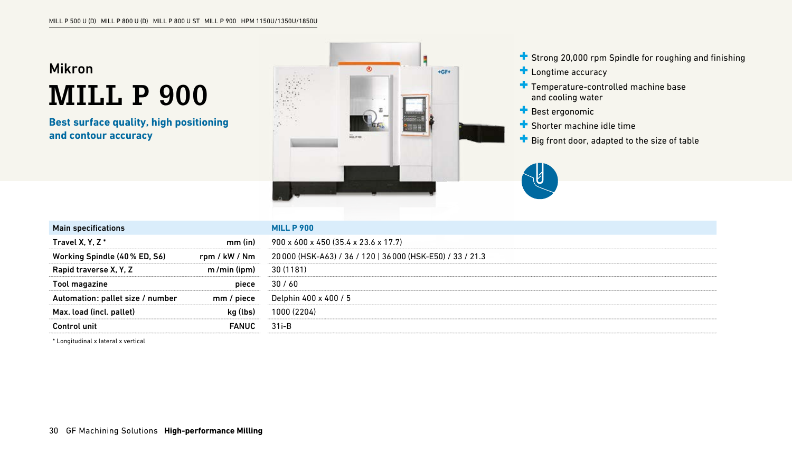### Mikron **MILL P 900**

**Best surface quality, high positioning and contour accuracy**



Strong 20,000 rpm Spindle for roughing and finishing

- **Longtime accuracy**
- **T** Temperature-controlled machine base and cooling water
- **Best ergonomic**
- Shorter machine idle time
- $\blacksquare$  Big front door, adapted to the size of table



| <b>Main specifications</b>       |               | <b>MILL P 900</b>                                          |
|----------------------------------|---------------|------------------------------------------------------------|
| Travel X, Y, Z <sup>*</sup>      | $mm$ (in)     | 900 x 600 x 450 (35.4 x 23.6 x 17.7)                       |
| Working Spindle (40% ED, S6)     | rpm / kW / Nm | 20 000 (HSK-A63) / 36 / 120   36 000 (HSK-E50) / 33 / 21.3 |
| Rapid traverse X, Y, Z           | $m/min$ (ipm) | 30 (1181)                                                  |
| Tool magazine                    | piece         | 30/60                                                      |
| Automation: pallet size / number | mm / piece    | Delphin 400 x 400 / 5                                      |
| Max. load (incl. pallet)         | kg (lbs)      | 1000 (2204)                                                |
| Control unit                     | <b>FANUC</b>  | $31i-B$                                                    |

\* Longitudinal x lateral x vertical